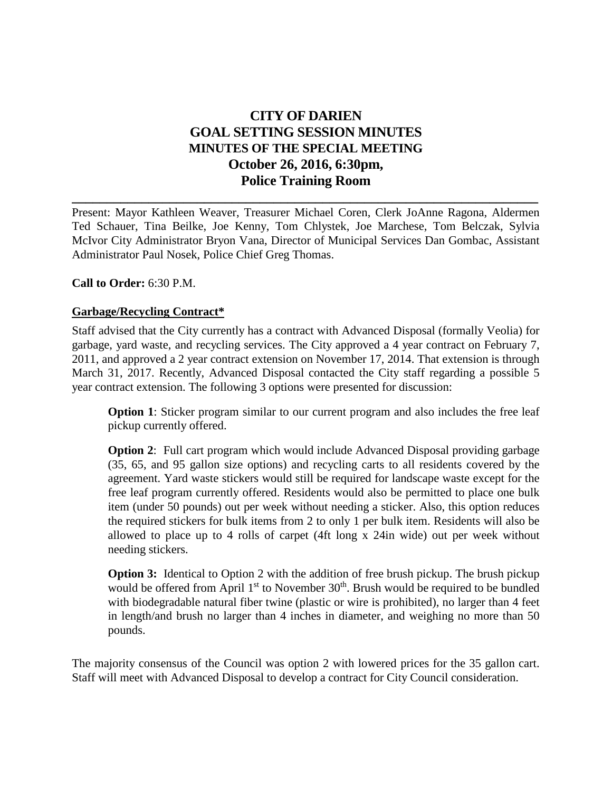# **CITY OF DARIEN GOAL SETTING SESSION MINUTES MINUTES OF THE SPECIAL MEETING October 26, 2016, 6:30pm, Police Training Room**

Present: Mayor Kathleen Weaver, Treasurer Michael Coren, Clerk JoAnne Ragona, Aldermen Ted Schauer, Tina Beilke, Joe Kenny, Tom Chlystek, Joe Marchese, Tom Belczak, Sylvia McIvor City Administrator Bryon Vana, Director of Municipal Services Dan Gombac, Assistant Administrator Paul Nosek, Police Chief Greg Thomas.

**\_\_\_\_\_\_\_\_\_\_\_\_\_\_\_\_\_\_\_\_\_\_\_\_\_\_\_\_\_\_\_\_\_\_\_\_\_\_\_\_\_\_\_\_\_\_\_\_\_\_\_\_\_\_\_\_\_\_\_\_\_\_\_\_\_\_\_**

**Call to Order:** 6:30 P.M.

# **Garbage/Recycling Contract\***

Staff advised that the City currently has a contract with Advanced Disposal (formally Veolia) for garbage, yard waste, and recycling services. The City approved a 4 year contract on February 7, 2011, and approved a 2 year contract extension on November 17, 2014. That extension is through March 31, 2017. Recently, Advanced Disposal contacted the City staff regarding a possible 5 year contract extension. The following 3 options were presented for discussion:

**Option 1**: Sticker program similar to our current program and also includes the free leaf pickup currently offered.

**Option 2:** Full cart program which would include Advanced Disposal providing garbage (35, 65, and 95 gallon size options) and recycling carts to all residents covered by the agreement. Yard waste stickers would still be required for landscape waste except for the free leaf program currently offered. Residents would also be permitted to place one bulk item (under 50 pounds) out per week without needing a sticker. Also, this option reduces the required stickers for bulk items from 2 to only 1 per bulk item. Residents will also be allowed to place up to 4 rolls of carpet (4ft long x 24in wide) out per week without needing stickers.

**Option 3:** Identical to Option 2 with the addition of free brush pickup. The brush pickup would be offered from April  $1<sup>st</sup>$  to November  $30<sup>th</sup>$ . Brush would be required to be bundled with biodegradable natural fiber twine (plastic or wire is prohibited), no larger than 4 feet in length/and brush no larger than 4 inches in diameter, and weighing no more than 50 pounds.

The majority consensus of the Council was option 2 with lowered prices for the 35 gallon cart. Staff will meet with Advanced Disposal to develop a contract for City Council consideration.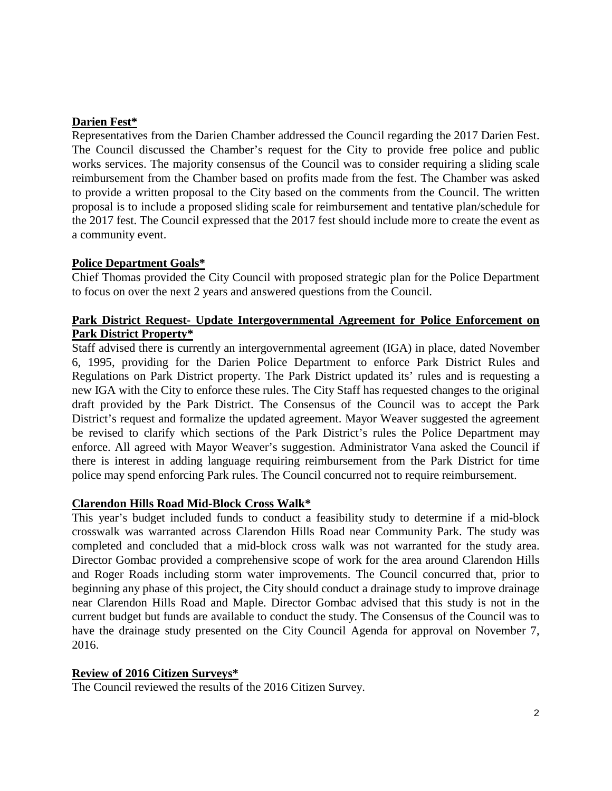## **Darien Fest\***

Representatives from the Darien Chamber addressed the Council regarding the 2017 Darien Fest. The Council discussed the Chamber's request for the City to provide free police and public works services. The majority consensus of the Council was to consider requiring a sliding scale reimbursement from the Chamber based on profits made from the fest. The Chamber was asked to provide a written proposal to the City based on the comments from the Council. The written proposal is to include a proposed sliding scale for reimbursement and tentative plan/schedule for the 2017 fest. The Council expressed that the 2017 fest should include more to create the event as a community event.

#### **Police Department Goals\***

Chief Thomas provided the City Council with proposed strategic plan for the Police Department to focus on over the next 2 years and answered questions from the Council.

# **Park District Request- Update Intergovernmental Agreement for Police Enforcement on Park District Property\***

Staff advised there is currently an intergovernmental agreement (IGA) in place, dated November 6, 1995, providing for the Darien Police Department to enforce Park District Rules and Regulations on Park District property. The Park District updated its' rules and is requesting a new IGA with the City to enforce these rules. The City Staff has requested changes to the original draft provided by the Park District. The Consensus of the Council was to accept the Park District's request and formalize the updated agreement. Mayor Weaver suggested the agreement be revised to clarify which sections of the Park District's rules the Police Department may enforce. All agreed with Mayor Weaver's suggestion. Administrator Vana asked the Council if there is interest in adding language requiring reimbursement from the Park District for time police may spend enforcing Park rules. The Council concurred not to require reimbursement.

#### **Clarendon Hills Road Mid-Block Cross Walk\***

This year's budget included funds to conduct a feasibility study to determine if a mid-block crosswalk was warranted across Clarendon Hills Road near Community Park. The study was completed and concluded that a mid-block cross walk was not warranted for the study area. Director Gombac provided a comprehensive scope of work for the area around Clarendon Hills and Roger Roads including storm water improvements. The Council concurred that, prior to beginning any phase of this project, the City should conduct a drainage study to improve drainage near Clarendon Hills Road and Maple. Director Gombac advised that this study is not in the current budget but funds are available to conduct the study. The Consensus of the Council was to have the drainage study presented on the City Council Agenda for approval on November 7, 2016.

#### **Review of 2016 Citizen Surveys\***

The Council reviewed the results of the 2016 Citizen Survey.